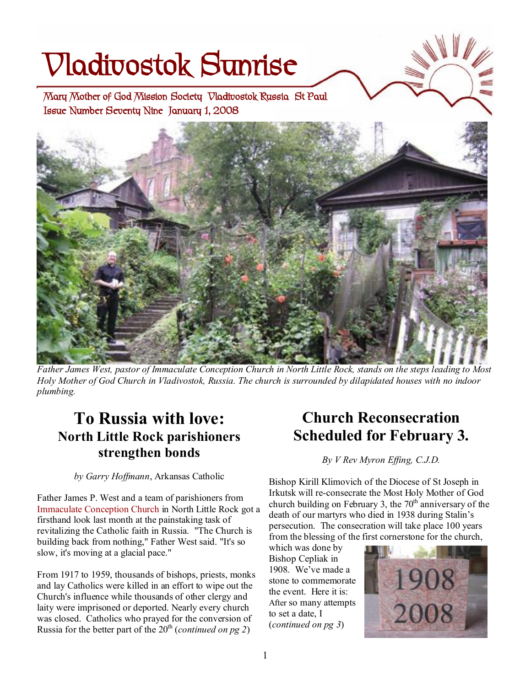# **Vladivostok Sunrise**

**Issue Number Seventy Nine January 1, 2008 Mary Mother of God Mission Society Vladivostok Russia St Paul** 



Father James West, pastor of Immaculate Conception Church in North Little Rock, stands on the steps leading to Most Holy Mother of God Church in Vladivostok, Russia. The church is surrounded by dilapidated houses with no indoor *plumbing.*

## **To Russia with love: North Little Rock parishioners strengthen bonds**

#### *by Garry Hoffmann*, Arkansas Catholic

Father James P. West and a team of parishioners from Immaculate Conception Church in North Little Rock got a firsthand look last month at the painstaking task of revitalizing the Catholic faith in Russia. "The Church is building back from nothing," Father West said. "It's so slow, it's moving at a glacial pace."

From 1917 to 1959, thousands of bishops, priests, monks and lay Catholics were killed in an effort to wipe out the Church's influence while thousands of other clergy and laity were imprisoned or deported. Nearly every church was closed. Catholics who prayed for the conversion of Russia for the better part of the  $20<sup>th</sup>$  (*continued on pg 2*)

## **Church Reconsecration Scheduled for February 3.**

*By V Rev Myron Effing, C.J.D.* 

Bishop Kirill Klimovich of the Diocese of St Joseph in Irkutsk will re-consecrate the Most Holy Mother of God church building on February 3, the  $70<sup>th</sup>$  anniversary of the death of our martyrs who died in 1938 during Stalin's persecution. The consecration will take place 100 years from the blessing of the first cornerstone for the church,

which was done by Bishop Cepliak in 1908. We've made a stone to commemorate the event. Here it is: After so many attempts to set a date, I (*continued on pg 3*)

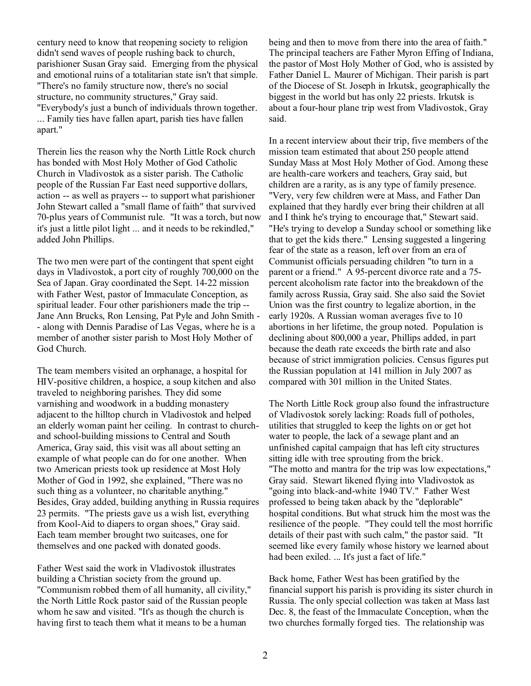century need to know that reopening society to religion didn't send waves of people rushing back to church, parishioner Susan Gray said. Emerging from the physical and emotional ruins of a totalitarian state isn't that simple. "There's no family structure now, there's no social structure, no community structures," Gray said. "Everybody's just a bunch of individuals thrown together.

... Family ties have fallen apart, parish ties have fallen apart."

Therein lies the reason why the North Little Rock church has bonded with Most Holy Mother of God Catholic Church in Vladivostok as a sister parish. The Catholic people of the Russian Far East need supportive dollars, action -- as well as prayers -- to support what parishioner John Stewart called a "small flame of faith" that survived 70-plus years of Communist rule. "It was a torch, but now it's just a little pilot light ... and it needs to be rekindled," added John Phillips.

The two men were part of the contingent that spent eight days in Vladivostok, a port city of roughly 700,000 on the Sea of Japan. Gray coordinated the Sept. 14-22 mission with Father West, pastor of Immaculate Conception, as spiritual leader. Four other parishioners made the trip -- Jane Ann Brucks, Ron Lensing, Pat Pyle and John Smith - - along with Dennis Paradise of Las Vegas, where he is a member of another sister parish to Most Holy Mother of God Church.

The team members visited an orphanage, a hospital for HIV-positive children, a hospice, a soup kitchen and also traveled to neighboring parishes. They did some varnishing and woodwork in a budding monastery adjacent to the hilltop church in Vladivostok and helped an elderly woman paint her ceiling. In contrast to churchand school-building missions to Central and South America, Gray said, this visit was all about setting an example of what people can do for one another. When two American priests took up residence at Most Holy Mother of God in 1992, she explained, "There was no such thing as a volunteer, no charitable anything." Besides, Gray added, building anything in Russia requires 23 permits. "The priests gave us a wish list, everything from Kool-Aid to diapers to organ shoes," Gray said. Each team member brought two suitcases, one for themselves and one packed with donated goods.

Father West said the work in Vladivostok illustrates building a Christian society from the ground up. "Communism robbed them of all humanity, all civility," the North Little Rock pastor said of the Russian people whom he saw and visited. "It's as though the church is having first to teach them what it means to be a human

being and then to move from there into the area of faith." The principal teachers are Father Myron Effing of Indiana, the pastor of Most Holy Mother of God, who is assisted by Father Daniel L. Maurer of Michigan. Their parish is part of the Diocese of St. Joseph in Irkutsk, geographically the biggest in the world but has only 22 priests. Irkutsk is about a four-hour plane trip west from Vladivostok, Gray said.

In a recent interview about their trip, five members of the mission team estimated that about 250 people attend Sunday Mass at Most Holy Mother of God. Among these are health-care workers and teachers, Gray said, but children are a rarity, as is any type of family presence. "Very, very few children were at Mass, and Father Dan explained that they hardly ever bring their children at all and I think he's trying to encourage that," Stewart said. "He's trying to develop a Sunday school or something like that to get the kids there." Lensing suggested a lingering fear of the state as a reason, left over from an era of Communist officials persuading children "to turn in a parent or a friend." A 95-percent divorce rate and a 75 percent alcoholism rate factor into the breakdown of the family across Russia, Gray said. She also said the Soviet Union was the first country to legalize abortion, in the early 1920s. A Russian woman averages five to 10 abortions in her lifetime, the group noted. Population is declining about 800,000 a year, Phillips added, in part because the death rate exceeds the birth rate and also because of strict immigration policies. Census figures put the Russian population at 141 million in July 2007 as compared with 301 million in the United States.

The North Little Rock group also found the infrastructure of Vladivostok sorely lacking: Roads full of potholes, utilities that struggled to keep the lights on or get hot water to people, the lack of a sewage plant and an unfinished capital campaign that has left city structures sitting idle with tree sprouting from the brick. "The motto and mantra for the trip was low expectations," Gray said. Stewart likened flying into Vladivostok as "going into black-and-white 1940 TV." Father West professed to being taken aback by the "deplorable" hospital conditions. But what struck him the most was the resilience of the people. "They could tell the most horrific details of their past with such calm," the pastor said. "It seemed like every family whose history we learned about had been exiled. ... It's just a fact of life."

Back home, Father West has been gratified by the financial support his parish is providing its sister church in Russia. The only special collection was taken at Mass last Dec. 8, the feast of the Immaculate Conception, when the two churches formally forged ties. The relationship was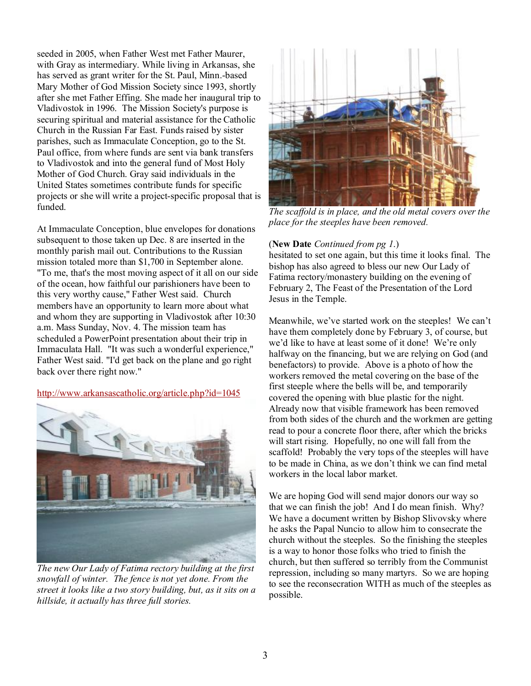seeded in 2005, when Father West met Father Maurer, with Gray as intermediary. While living in Arkansas, she has served as grant writer for the St. Paul, Minn.-based Mary Mother of God Mission Society since 1993, shortly after she met Father Effing. She made her inaugural trip to Vladivostok in 1996. The Mission Society's purpose is securing spiritual and material assistance for the Catholic Church in the Russian Far East. Funds raised by sister parishes, such as Immaculate Conception, go to the St. Paul office, from where funds are sent via bank transfers to Vladivostok and into the general fund of Most Holy Mother of God Church. Gray said individuals in the United States sometimes contribute funds for specific projects or she will write a project-specific proposal that is funded.

At Immaculate Conception, blue envelopes for donations subsequent to those taken up Dec. 8 are inserted in the monthly parish mail out. Contributions to the Russian mission totaled more than \$1,700 in September alone. "To me, that's the most moving aspect of it all on our side of the ocean, how faithful our parishioners have been to this very worthy cause," Father West said. Church members have an opportunity to learn more about what and whom they are supporting in Vladivostok after 10:30 a.m. Mass Sunday, Nov. 4. The mission team has scheduled a PowerPoint presentation about their trip in Immaculata Hall. "It was such a wonderful experience," Father West said. "I'd get back on the plane and go right back over there right now."

<http://www.arkansascatholic.org/article.php?id=1045>



*The new Our Lady of Fatima rectory building at the first snowfall of winter. The fence is not yet done. From the street it looks like a two story building, but, as it sits on a hillside, it actually has three full stories.*



*The scaffold is in place, and the old metal covers over the place for the steeples have been removed.* 

#### (**New Date** *Continued from pg 1*.)

hesitated to set one again, but this time it looks final. The bishop has also agreed to bless our new Our Lady of Fatima rectory/monastery building on the evening of February 2, The Feast of the Presentation of the Lord Jesus in the Temple.

Meanwhile, we've started work on the steeples! We can't have them completely done by February 3, of course, but we'd like to have at least some of it done! We're only halfway on the financing, but we are relying on God (and benefactors) to provide. Above is a photo of how the workers removed the metal covering on the base of the first steeple where the bells will be, and temporarily covered the opening with blue plastic for the night. Already now that visible framework has been removed from both sides of the church and the workmen are getting read to pour a concrete floor there, after which the bricks will start rising. Hopefully, no one will fall from the scaffold! Probably the very tops of the steeples will have to be made in China, as we don't think we can find metal workers in the local labor market.

We are hoping God will send major donors our way so that we can finish the job! And I do mean finish. Why? We have a document written by Bishop Slivovsky where he asks the Papal Nuncio to allow him to consecrate the church without the steeples. So the finishing the steeples is a way to honor those folks who tried to finish the church, but then suffered so terribly from the Communist repression, including so many martyrs. So we are hoping to see the reconsecration WITH as much of the steeples as possible.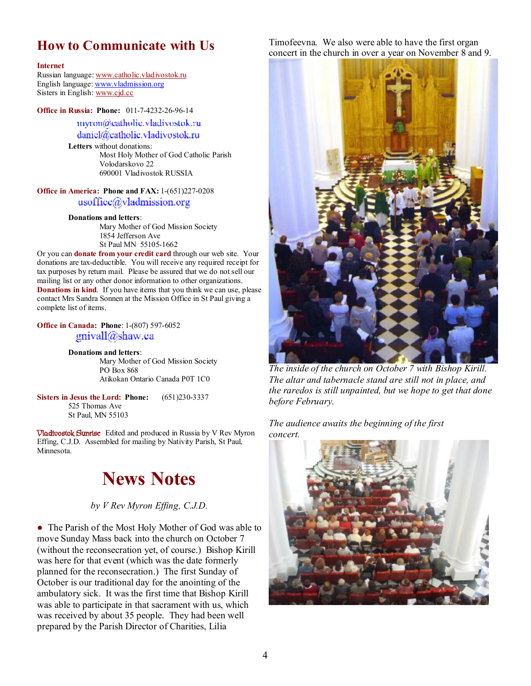## **How to Communicate with Us**

#### **Internet**

Russian language: [www.catholic.vladivostok.ru](http://www.catholic.vladivostok.ru) English language: [www.vladmission.org](http://www.vladmission.org) Sisters in English: [www.cjd.cc](http://www.cjd.cc)

#### **Office in Russia: Phone:** 011-7-4232-26-96-14

#### myron@eatholic.vladivostok.ru daniel@catholic.vladivostok.ru

**Letters** without donations: Most Holy Mother of God Catholic Parish Volodarskovo 22 690001 Vladivostok RUSSIA

#### **Office in America: Phone and FAX:** 1-(651)227-0208 usoffice@vladmission.org

#### **Donations and letters**:

Mary Mother of God Mission Society 1854 Jefferson Ave St Paul MN 55105-1662

Or you can **donate from your credit card** through our web site. Your donations are tax-deductible. You will receive any required receipt for tax purposes by return mail. Please be assured that we do not sell our mailing list or any other donor information to other organizations. **Donations in kind**. If you have items that you think we can use, please contact Mrs Sandra Sonnen at the Mission Office in St Paul giving a complete list of items.

#### **Office in Canada: Phone**: 1-(807) 597-6052 gnivall@shaw.ca

**Donations and letters**: Mary Mother of God Mission Society PO Box 868 Atikokan Ontario Canada P0T 1C0

**Sisters in Jesus the Lord: Phone:** (651)230-3337 525 Thomas Ave St Paul, MN 55103

**Vladivostok Sunrise** Edited and produced in Russia by V Rev Myron Effing, C.J.D. Assembled for mailing by Nativity Parish, St Paul, Minnesota.

# **News Notes**

*by V Rev Myron Effing, C.J.D.*

• The Parish of the Most Holy Mother of God was able to move Sunday Mass back into the church on October 7 (without the reconsecration yet, of course.) Bishop Kirill was here for that event (which was the date formerly planned for the reconsecration.) The first Sunday of October is our traditional day for the anointing of the ambulatory sick. It was the first time that Bishop Kirill was able to participate in that sacrament with us, which was received by about 35 people. They had been well prepared by the Parish Director of Charities, Lilia

Timofeevna. We also were able to have the first organ concert in the church in over a year on November 8 and 9.



*The inside of the church on October 7 with Bishop Kirill. The altar and tabernacle stand are still not in place, and the raredos is still unpainted, but we hope to get that done before February.* 

*The audience awaits the beginning of the first concert.*

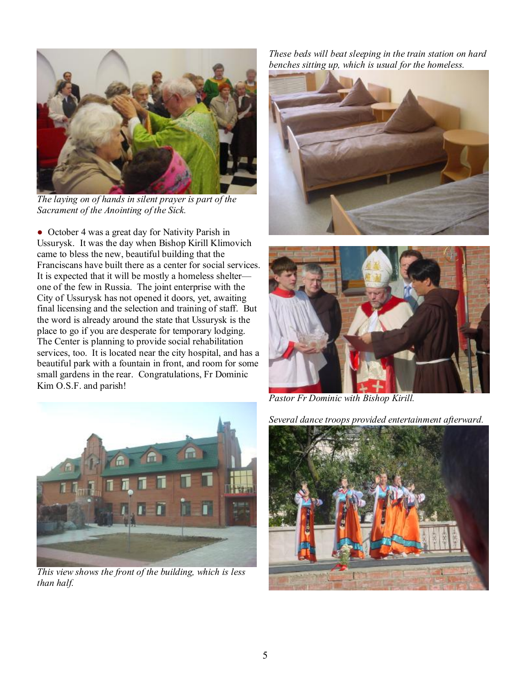

*The laying on of hands in silent prayer is part of the Sacrament of the Anointing of the Sick.* 

• October 4 was a great day for Nativity Parish in Ussurysk. It was the day when Bishop Kirill Klimovich came to bless the new, beautiful building that the Franciscans have built there as a center for social services. It is expected that it will be mostly a homeless shelter one of the few in Russia. The joint enterprise with the City of Ussurysk has not opened it doors, yet, awaiting final licensing and the selection and training of staff. But the word is already around the state that Ussurysk is the place to go if you are desperate for temporary lodging. The Center is planning to provide social rehabilitation services, too. It is located near the city hospital, and has a beautiful park with a fountain in front, and room for some small gardens in the rear. Congratulations, Fr Dominic Kim O.S.F. and parish!



*This view shows the front of the building, which is less than half.* 

*These beds will beat sleeping in the train station on hard benches sitting up, which is usual for the homeless.* 





*Pastor Fr Dominic with Bishop Kirill.* 

*Several dance troops provided entertainment afterward.* 

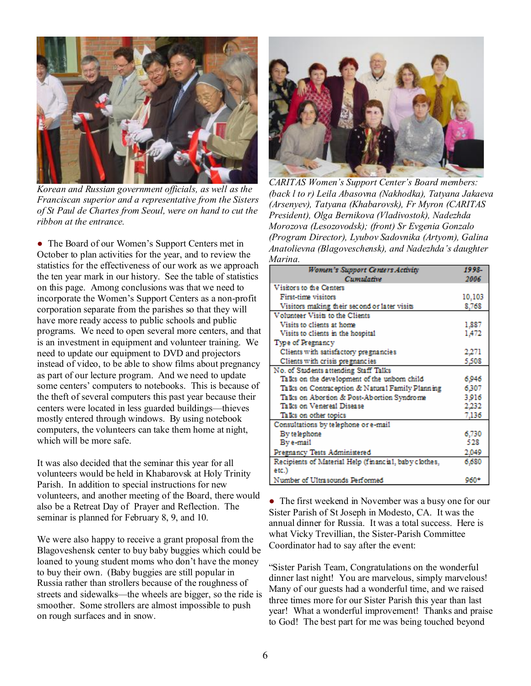

*Korean and Russian government officials, as well as the Franciscan superior and a representative from the Sisters of St Paul de Chartes from Seoul, were on hand to cut the ribbon at the entrance.* 

• The Board of our Women's Support Centers met in October to plan activities for the year, and to review the statistics for the effectiveness of our work as we approach the ten year mark in our history. See the table of statistics on this page. Among conclusions was that we need to incorporate the Women's Support Centers as a non-profit corporation separate from the parishes so that they will have more ready access to public schools and public programs. We need to open several more centers, and that is an investment in equipment and volunteer training. We need to update our equipment to DVD and projectors instead of video, to be able to show films about pregnancy as part of our lecture program. And we need to update some centers' computers to notebooks. This is because of the theft of several computers this past year because their centers were located in less guarded buildings—thieves mostly entered through windows. By using notebook computers, the volunteers can take them home at night, which will be more safe.

It was also decided that the seminar this year for all volunteers would be held in Khabarovsk at Holy Trinity Parish. In addition to special instructions for new volunteers, and another meeting of the Board, there would also be a Retreat Day of Prayer and Reflection. The seminar is planned for February 8, 9, and 10.

We were also happy to receive a grant proposal from the Blagoveshensk center to buy baby buggies which could be loaned to young student moms who don't have the money to buy their own. (Baby buggies are still popular in Russia rather than strollers because of the roughness of streets and sidewalks—the wheels are bigger, so the ride is smoother. Some strollers are almost impossible to push on rough surfaces and in snow.



*CARITAS Women's Support Center's Board members: (back l to r) Leila Abasovna (Nakhodka), Tatyana Jakaeva (Arsenyev), Tatyana (Khabarovsk), Fr Myron (CARITAS President), Olga Bernikova (Vladivostok), Nadezhda Morozova (Lesozovodsk); (front) Sr Evgenia Gonzalo (Program Director), Lyubov Sadovnika (Artyom), Galina Anatolievna (Blagoveschensk), and Nadezhda's daughter Marina.* 

| Women's Support Centers Activity                      | 1998-  |
|-------------------------------------------------------|--------|
| Cumulative                                            | 2006   |
| Visitors to the Centers                               |        |
| First-time visitors                                   | 10,103 |
| Visitors making their second or later visits          | 8.768  |
| Volunteer Visits to the Clients                       |        |
| Visits to clients at home                             | 1,887  |
| Visits to clients in the hospital                     | 1,472  |
| Type of Pregnancy                                     |        |
| Clients with satisfactory pregnancies                 | 2.271  |
| Clients with crisis pregnancies                       | 5,508  |
| No. of Students attending Staff Talks                 |        |
| Talks on the development of the unborn child          | 6,946  |
| Talks on Contraception & Natural Family Planning      | 6.307  |
| Talks on Abortion & Post-Abortion Syndrome            | 3.916  |
| Talks on Venereal Disease                             | 2.232  |
| Talks on other topics                                 | 7.136  |
| Consultations by telephone or e-mail                  |        |
| By telephone                                          | 6.730  |
| By e-mail                                             | 528    |
| Pregnancy Tests Administered                          | 2.049  |
| Recipients of Material Help (financial, baby clothes, | 6.680  |
| etc.)                                                 |        |
| Number of Ultra sounds Performed                      | 960*   |

• The first weekend in November was a busy one for our Sister Parish of St Joseph in Modesto, CA. It was the annual dinner for Russia. It was a total success. Here is what Vicky Trevillian, the Sister-Parish Committee Coordinator had to say after the event:

"Sister Parish Team, Congratulations on the wonderful dinner last night! You are marvelous, simply marvelous! Many of our guests had a wonderful time, and we raised three times more for our Sister Parish this year than last year! What a wonderful improvement! Thanks and praise to God! The best part for me was being touched beyond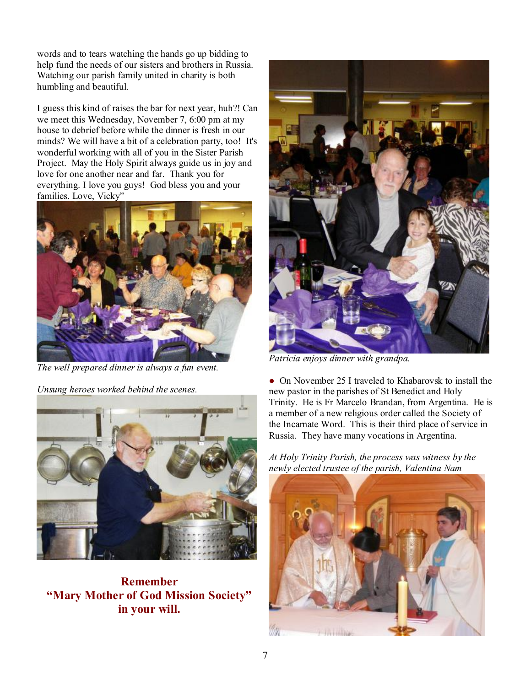words and to tears watching the hands go up bidding to help fund the needs of our sisters and brothers in Russia. Watching our parish family united in charity is both humbling and beautiful.

I guess this kind of raises the bar for next year, huh?! Can we meet this Wednesday, November 7, 6:00 pm at my house to debrief before while the dinner is fresh in our minds? We will have a bit of a celebration party, too! It's wonderful working with all of you in the Sister Parish Project. May the Holy Spirit always guide us in joy and love for one another near and far. Thank you for everything. I love you guys! God bless you and your families. Love, Vicky"



*The well prepared dinner is always a fun event.* 

*Unsung heroes worked behind the scenes.* 



**Remember "Mary Mother of God Mission Society" in your will.** 



*Patricia enjoys dinner with grandpa.* 

• On November 25 I traveled to Khabarovsk to install the new pastor in the parishes of St Benedict and Holy Trinity. He is Fr Marcelo Brandan, from Argentina. He is a member of a new religious order called the Society of the Incarnate Word. This is their third place of service in Russia. They have many vocations in Argentina.

*At Holy Trinity Parish, the process was witness by the newly elected trustee of the parish, Valentina Nam*